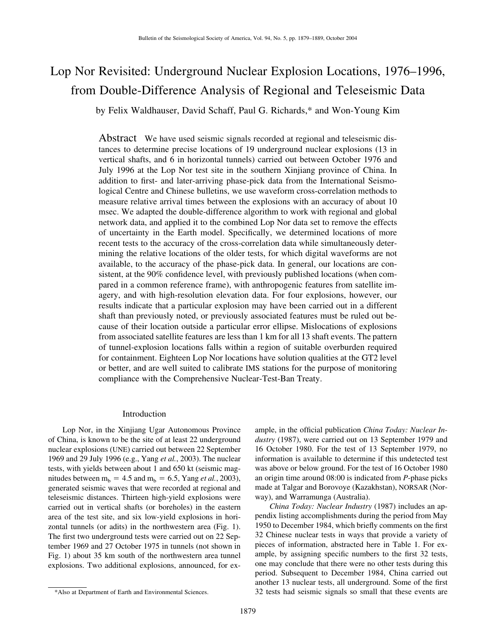# Lop Nor Revisited: Underground Nuclear Explosion Locations, 1976–1996, from Double-Difference Analysis of Regional and Teleseismic Data

by Felix Waldhauser, David Schaff, Paul G. Richards,\* and Won-Young Kim

Abstract We have used seismic signals recorded at regional and teleseismic distances to determine precise locations of 19 underground nuclear explosions (13 in vertical shafts, and 6 in horizontal tunnels) carried out between October 1976 and July 1996 at the Lop Nor test site in the southern Xinjiang province of China. In addition to first- and later-arriving phase-pick data from the International Seismological Centre and Chinese bulletins, we use waveform cross-correlation methods to measure relative arrival times between the explosions with an accuracy of about 10 msec. We adapted the double-difference algorithm to work with regional and global network data, and applied it to the combined Lop Nor data set to remove the effects of uncertainty in the Earth model. Specifically, we determined locations of more recent tests to the accuracy of the cross-correlation data while simultaneously determining the relative locations of the older tests, for which digital waveforms are not available, to the accuracy of the phase-pick data. In general, our locations are consistent, at the 90% confidence level, with previously published locations (when compared in a common reference frame), with anthropogenic features from satellite imagery, and with high-resolution elevation data. For four explosions, however, our results indicate that a particular explosion may have been carried out in a different shaft than previously noted, or previously associated features must be ruled out because of their location outside a particular error ellipse. Mislocations of explosions from associated satellite features are less than 1 km for all 13 shaft events. The pattern of tunnel-explosion locations falls within a region of suitable overburden required for containment. Eighteen Lop Nor locations have solution qualities at the GT2 level or better, and are well suited to calibrate IMS stations for the purpose of monitoring compliance with the Comprehensive Nuclear-Test-Ban Treaty.

## Introduction

Lop Nor, in the Xinjiang Ugar Autonomous Province of China, is known to be the site of at least 22 underground nuclear explosions (UNE) carried out between 22 September 1969 and 29 July 1996 (e.g., Yang *et al.*, 2003). The nuclear tests, with yields between about 1 and 650 kt (seismic magnitudes between  $m_b = 4.5$  and  $m_b = 6.5$ , Yang *et al.*, 2003), generated seismic waves that were recorded at regional and teleseismic distances. Thirteen high-yield explosions were carried out in vertical shafts (or boreholes) in the eastern area of the test site, and six low-yield explosions in horizontal tunnels (or adits) in the northwestern area (Fig. 1). The first two underground tests were carried out on 22 September 1969 and 27 October 1975 in tunnels (not shown in Fig. 1) about 35 km south of the northwestern area tunnel explosions. Two additional explosions, announced, for example, in the official publication *China Today: Nuclear Industry* (1987), were carried out on 13 September 1979 and 16 October 1980. For the test of 13 September 1979, no information is available to determine if this undetected test was above or below ground. For the test of 16 October 1980 an origin time around 08:00 is indicated from *P*-phase picks made at Talgar and Borovoye (Kazakhstan), NORSAR (Norway), and Warramunga (Australia).

*China Today: Nuclear Industry* (1987) includes an appendix listing accomplishments during the period from May 1950 to December 1984, which briefly comments on the first 32 Chinese nuclear tests in ways that provide a variety of pieces of information, abstracted here in Table 1. For example, by assigning specific numbers to the first 32 tests, one may conclude that there were no other tests during this period. Subsequent to December 1984, China carried out another 13 nuclear tests, all underground. Some of the first 32 tests had seismic signals so small that these events are

<sup>\*</sup>Also at Department of Earth and Environmental Sciences.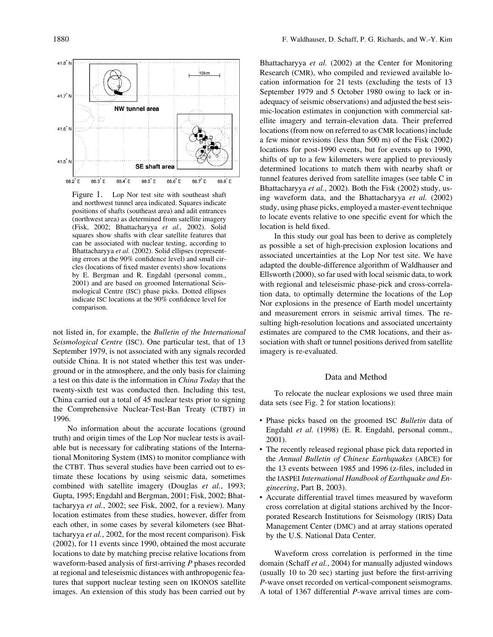

Figure 1. Lop Nor test site with southeast shaft and northwest tunnel area indicated. Squares indicate positions of shafts (southeast area) and adit entrances (northwest area) as determined from satellite imagery (Fisk, 2002; Bhattacharyya *et al.,* 2002). Solid squares show shafts with clear satellite features that can be associated with nuclear testing, according to Bhattacharyya *et al.* (2002). Solid ellipses (representing errors at the 90% confidence level) and small circles (locations of fixed master events) show locations by E. Bergman and R. Engdahl (personal comm., 2001) and are based on groomed International Seismological Centre (ISC) phase picks. Dotted ellipses indicate ISC locations at the 90% confidence level for comparison.

not listed in, for example, the *Bulletin of the International Seismological Centre* (ISC). One particular test, that of 13 September 1979, is not associated with any signals recorded outside China. It is not stated whether this test was underground or in the atmosphere, and the only basis for claiming a test on this date is the information in *China Today* that the twenty-sixth test was conducted then. Including this test, China carried out a total of 45 nuclear tests prior to signing the Comprehensive Nuclear-Test-Ban Treaty (CTBT) in 1996.

No information about the accurate locations (ground truth) and origin times of the Lop Nor nuclear tests is available but is necessary for calibrating stations of the International Monitoring System (IMS) to monitor compliance with the CTBT. Thus several studies have been carried out to estimate these locations by using seismic data, sometimes combined with satellite imagery (Douglas *et al.*, 1993; Gupta, 1995; Engdahl and Bergman, 2001; Fisk, 2002; Bhattacharyya *et al.*, 2002; see Fisk, 2002, for a review). Many location estimates from these studies, however, differ from each other, in some cases by several kilometers (see Bhattacharyya *et al.*, 2002, for the most recent comparison). Fisk (2002), for 11 events since 1990, obtained the most accurate locations to date by matching precise relative locations from waveform-based analysis of first-arriving *P* phases recorded at regional and teleseismic distances with anthropogenic features that support nuclear testing seen on IKONOS satellite images. An extension of this study has been carried out by Bhattacharyya *et al.* (2002) at the Center for Monitoring Research (CMR), who compiled and reviewed available location information for 21 tests (excluding the tests of 13 September 1979 and 5 October 1980 owing to lack or inadequacy of seismic observations) and adjusted the best seismic-location estimates in conjunction with commercial satellite imagery and terrain-elevation data. Their preferred locations (from now on referred to as CMR locations) include a few minor revisions (less than 500 m) of the Fisk (2002) locations for post-1990 events, but for events up to 1990, shifts of up to a few kilometers were applied to previously determined locations to match them with nearby shaft or tunnel features derived from satellite images (see table C in Bhattacharyya *et al.*, 2002). Both the Fisk (2002) study, using waveform data, and the Bhattacharyya *et al.* (2002) study, using phase picks, employed a master-event technique to locate events relative to one specific event for which the location is held fixed.

In this study our goal has been to derive as completely as possible a set of high-precision explosion locations and associated uncertainties at the Lop Nor test site. We have adapted the double-difference algorithm of Waldhauser and Ellsworth (2000), so far used with local seismic data, to work with regional and teleseismic phase-pick and cross-correlation data, to optimally determine the locations of the Lop Nor explosions in the presence of Earth model uncertainty and measurement errors in seismic arrival times. The resulting high-resolution locations and associated uncertainty estimates are compared to the CMR locations, and their association with shaft or tunnel positions derived from satellite imagery is re-evaluated.

### Data and Method

To relocate the nuclear explosions we used three main data sets (see Fig. 2 for station locations):

- Phase picks based on the groomed ISC *Bulletin* data of Engdahl *et al.* (1998) (E. R. Engdahl, personal comm., 2001).
- The recently released regional phase pick data reported in the *Annual Bulletin of Chinese Earthquakes* (ABCE) for the 13 events between 1985 and 1996 (z-files, included in the IASPEI *International Handbook of Earthquake and Engineering*, Part B, 2003).
- Accurate differential travel times measured by waveform cross correlation at digital stations archived by the Incorporated Research Institutions for Seismology (IRIS) Data Management Center (DMC) and at array stations operated by the U.S. National Data Center.

Waveform cross correlation is performed in the time domain (Schaff *et al.*, 2004) for manually adjusted windows (usually 10 to 20 sec) starting just before the first-arriving *P*-wave onset recorded on vertical-component seismograms. A total of 1367 differential *P*-wave arrival times are com-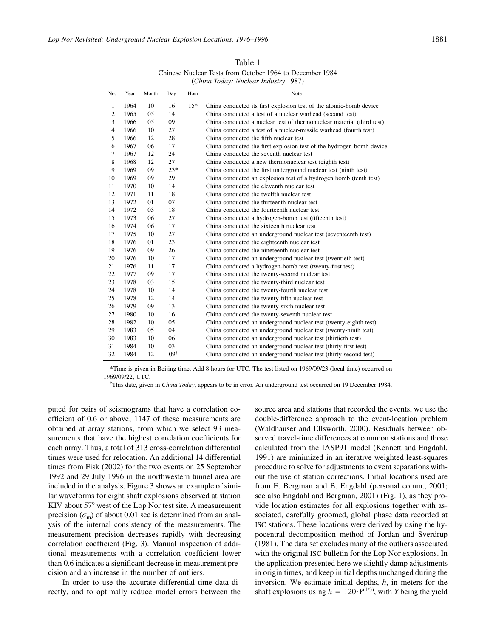Table 1 Chinese Nuclear Tests from October 1964 to December 1984 (*China Today: Nuclear Industry* 1987)

| No.            | Year | Month | Day            | Hour  | Note                                                                  |
|----------------|------|-------|----------------|-------|-----------------------------------------------------------------------|
| 1              | 1964 | 10    | 16             | $15*$ | China conducted its first explosion test of the atomic-bomb device    |
| $\overline{c}$ | 1965 | 05    | 14             |       | China conducted a test of a nuclear warhead (second test)             |
| 3              | 1966 | 05    | 09             |       | China conducted a nuclear test of thermonuclear material (third test) |
| 4              | 1966 | 10    | 27             |       | China conducted a test of a nuclear-missile warhead (fourth test)     |
| 5              | 1966 | 12    | 28             |       | China conducted the fifth nuclear test                                |
| 6              | 1967 | 06    | 17             |       | China conducted the first explosion test of the hydrogen-bomb device  |
| 7              | 1967 | 12    | 24             |       | China conducted the seventh nuclear test                              |
| 8              | 1968 | 12    | 27             |       | China conducted a new thermonuclear test (eighth test)                |
| 9              | 1969 | 09    | $23*$          |       | China conducted the first underground nuclear test (ninth test)       |
| 10             | 1969 | 09    | 29             |       | China conducted an explosion test of a hydrogen bomb (tenth test)     |
| 11             | 1970 | 10    | 14             |       | China conducted the eleventh nuclear test                             |
| 12             | 1971 | 11    | 18             |       | China conducted the twelfth nuclear test                              |
| 13             | 1972 | 01    | 07             |       | China conducted the thirteenth nuclear test                           |
| 14             | 1972 | 03    | 18             |       | China conducted the fourteenth nuclear test                           |
| 15             | 1973 | 06    | 27             |       | China conducted a hydrogen-bomb test (fifteenth test)                 |
| 16             | 1974 | 06    | 17             |       | China conducted the sixteenth nuclear test                            |
| 17             | 1975 | 10    | 27             |       | China conducted an underground nuclear test (seventeenth test)        |
| 18             | 1976 | 01    | 23             |       | China conducted the eighteenth nuclear test                           |
| 19             | 1976 | 09    | 26             |       | China conducted the nineteenth nuclear test                           |
| 20             | 1976 | 10    | 17             |       | China conducted an underground nuclear test (twentieth test)          |
| 21             | 1976 | 11    | 17             |       | China conducted a hydrogen-bomb test (twenty-first test)              |
| 22             | 1977 | 09    | 17             |       | China conducted the twenty-second nuclear test                        |
| 23             | 1978 | 03    | 15             |       | China conducted the twenty-third nuclear test                         |
| 24             | 1978 | 10    | 14             |       | China conducted the twenty-fourth nuclear test                        |
| 25             | 1978 | 12    | 14             |       | China conducted the twenty-fifth nuclear test                         |
| 26             | 1979 | 09    | 13             |       | China conducted the twenty-sixth nuclear test                         |
| 27             | 1980 | 10    | 16             |       | China conducted the twenty-seventh nuclear test                       |
| 28             | 1982 | 10    | 05             |       | China conducted an underground nuclear test (twenty-eighth test)      |
| 29             | 1983 | 05    | 04             |       | China conducted an underground nuclear test (twenty-ninth test)       |
| 30             | 1983 | 10    | 06             |       | China conducted an underground nuclear test (thirtieth test)          |
| 31             | 1984 | 10    | 03             |       | China conducted an underground nuclear test (thirty-first test)       |
| 32             | 1984 | 12    | $09^{\dagger}$ |       | China conducted an underground nuclear test (thirty-second test)      |

\*Time is given in Beijing time. Add 8 hours for UTC. The test listed on 1969/09/23 (local time) occurred on 1969/09/22, UTC.

† This date, given in *China Today*, appears to be in error. An underground test occurred on 19 December 1984.

puted for pairs of seismograms that have a correlation coefficient of 0.6 or above; 1147 of these measurements are obtained at array stations, from which we select 93 measurements that have the highest correlation coefficients for each array. Thus, a total of 313 cross-correlation differential times were used for relocation. An additional 14 differential times from Fisk (2002) for the two events on 25 September 1992 and 29 July 1996 in the northwestern tunnel area are included in the analysis. Figure 3 shows an example of similar waveforms for eight shaft explosions observed at station KIV about  $57^\circ$  west of the Lop Nor test site. A measurement precision  $(\sigma_m)$  of about 0.01 sec is determined from an analysis of the internal consistency of the measurements. The measurement precision decreases rapidly with decreasing correlation coefficient (Fig. 3). Manual inspection of additional measurements with a correlation coefficient lower than 0.6 indicates a significant decrease in measurement precision and an increase in the number of outliers.

In order to use the accurate differential time data directly, and to optimally reduce model errors between the source area and stations that recorded the events, we use the double-difference approach to the event-location problem (Waldhauser and Ellsworth, 2000). Residuals between observed travel-time differences at common stations and those calculated from the IASP91 model (Kennett and Engdahl, 1991) are minimized in an iterative weighted least-squares procedure to solve for adjustments to event separations without the use of station corrections. Initial locations used are from E. Bergman and B. Engdahl (personal comm., 2001; see also Engdahl and Bergman, 2001) (Fig. 1), as they provide location estimates for all explosions together with associated, carefully groomed, global phase data recorded at ISC stations. These locations were derived by using the hypocentral decomposition method of Jordan and Sverdrup (1981). The data set excludes many of the outliers associated with the original ISC bulletin for the Lop Nor explosions. In the application presented here we slightly damp adjustments in origin times, and keep initial depths unchanged during the inversion. We estimate initial depths, *h*, in meters for the shaft explosions using  $h = 120 \cdot Y^{(1/3)}$ , with *Y* being the yield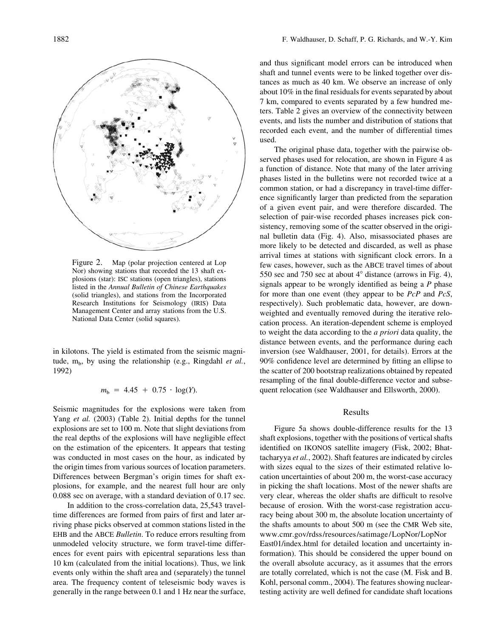

Figure 2. Map (polar projection centered at Lop Nor) showing stations that recorded the 13 shaft explosions (star): ISC stations (open triangles), stations listed in the *Annual Bulletin of Chinese Earthquakes* (solid triangles), and stations from the Incorporated Research Institutions for Seismology (IRIS) Data Management Center and array stations from the U.S. National Data Center (solid squares).

in kilotons. The yield is estimated from the seismic magnitude,  $m_b$ , by using the relationship (e.g., Ringdahl *et al.*, 1992)

$$
m_{\rm b} = 4.45 + 0.75 \cdot \log(Y).
$$

Seismic magnitudes for the explosions were taken from Yang *et al.* (2003) (Table 2). Initial depths for the tunnel explosions are set to 100 m. Note that slight deviations from the real depths of the explosions will have negligible effect on the estimation of the epicenters. It appears that testing was conducted in most cases on the hour, as indicated by the origin times from various sources of location parameters. Differences between Bergman's origin times for shaft explosions, for example, and the nearest full hour are only 0.088 sec on average, with a standard deviation of 0.17 sec.

In addition to the cross-correlation data, 25,543 traveltime differences are formed from pairs of first and later arriving phase picks observed at common stations listed in the EHB and the ABCE *Bulletin*. To reduce errors resulting from unmodeled velocity structure, we form travel-time differences for event pairs with epicentral separations less than 10 km (calculated from the initial locations). Thus, we link events only within the shaft area and (separately) the tunnel area. The frequency content of teleseismic body waves is generally in the range between 0.1 and 1 Hz near the surface, and thus significant model errors can be introduced when shaft and tunnel events were to be linked together over distances as much as 40 km. We observe an increase of only about 10% in the final residuals for events separated by about 7 km, compared to events separated by a few hundred meters. Table 2 gives an overview of the connectivity between events, and lists the number and distribution of stations that recorded each event, and the number of differential times used.

The original phase data, together with the pairwise observed phases used for relocation, are shown in Figure 4 as a function of distance. Note that many of the later arriving phases listed in the bulletins were not recorded twice at a common station, or had a discrepancy in travel-time difference significantly larger than predicted from the separation of a given event pair, and were therefore discarded. The selection of pair-wise recorded phases increases pick consistency, removing some of the scatter observed in the original bulletin data (Fig. 4). Also, misassociated phases are more likely to be detected and discarded, as well as phase arrival times at stations with significant clock errors. In a few cases, however, such as the ABCE travel times of about 550 sec and 750 sec at about  $4^{\circ}$  distance (arrows in Fig. 4), signals appear to be wrongly identified as being a *P* phase for more than one event (they appear to be *PcP* and *PcS*, respectively). Such problematic data, however, are downweighted and eventually removed during the iterative relocation process. An iteration-dependent scheme is employed to weight the data according to the *a priori* data quality, the distance between events, and the performance during each inversion (see Waldhauser, 2001, for details). Errors at the 90% confidence level are determined by fitting an ellipse to the scatter of 200 bootstrap realizations obtained by repeated resampling of the final double-difference vector and subsequent relocation (see Waldhauser and Ellsworth, 2000).

# Results

Figure 5a shows double-difference results for the 13 shaft explosions, together with the positions of vertical shafts identified on IKONOS satellite imagery (Fisk, 2002; Bhattacharyya *et al.*, 2002). Shaft features are indicated by circles with sizes equal to the sizes of their estimated relative location uncertainties of about 200 m, the worst-case accuracy in picking the shaft locations. Most of the newer shafts are very clear, whereas the older shafts are difficult to resolve because of erosion. With the worst-case registration accuracy being about 300 m, the absolute location uncertainty of the shafts amounts to about 500 m (see the CMR Web site, www.cmr.gov/rdss/resources/satimage/LopNor/LopNor East01/index.html for detailed location and uncertainty information). This should be considered the upper bound on the overall absolute accuracy, as it assumes that the errors are totally correlated, which is not the case (M. Fisk and B. Kohl, personal comm., 2004). The features showing nucleartesting activity are well defined for candidate shaft locations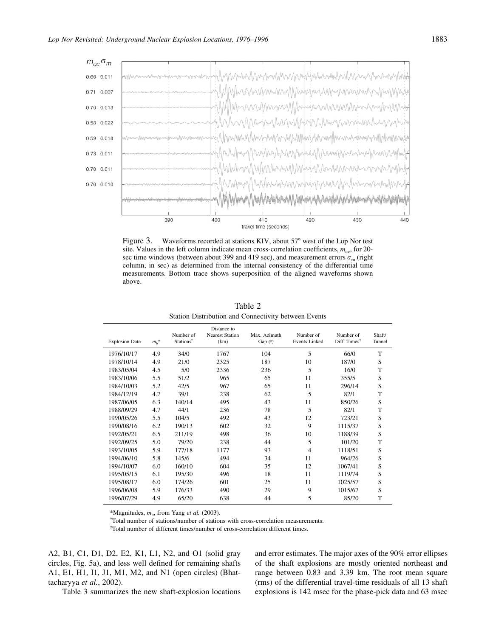

Figure 3. Waveforms recorded at stations KIV, about  $57^{\circ}$  west of the Lop Nor test site. Values in the left column indicate mean cross-correlation coefficients,  $m_{\rm cc}$ , for 20sec time windows (between about 399 and 419 sec), and measurement errors  $\sigma_{\rm m}$  (right column, in sec) as determined from the internal consistency of the differential time measurements. Bottom trace shows superposition of the aligned waveforms shown above.

| <b>Explosion Date</b> | $m_h$ * | Number of<br>Stations <sup>†</sup> | Distance to<br><b>Nearest Station</b><br>(km) | Max. Azimuth<br>Gap $(°)$ | Number of<br><b>Events Linked</b> | Number of<br>Diff. Times <sup>‡</sup> | Shaft/<br>Tunnel |
|-----------------------|---------|------------------------------------|-----------------------------------------------|---------------------------|-----------------------------------|---------------------------------------|------------------|
| 1976/10/17            | 4.9     | 34/0                               | 1767                                          | 104                       | 5                                 | 66/0                                  | T                |
| 1978/10/14            | 4.9     | 21/0                               | 2325                                          | 187                       | 10                                | 187/0                                 | S                |
| 1983/05/04            | 4.5     | 5/0                                | 2336                                          | 236                       | 5                                 | 16/0                                  | T                |
| 1983/10/06            | 5.5     | 51/2                               | 965                                           | 65                        | 11                                | 355/5                                 | S                |
| 1984/10/03            | 5.2     | 42/5                               | 967                                           | 65                        | 11                                | 296/14                                | S                |
| 1984/12/19            | 4.7     | 39/1                               | 238                                           | 62                        | 5                                 | 82/1                                  | T                |
| 1987/06/05            | 6.3     | 140/14                             | 495                                           | 43                        | 11                                | 850/26                                | S                |
| 1988/09/29            | 4.7     | 44/1                               | 236                                           | 78                        | 5                                 | 82/1                                  | T                |
| 1990/05/26            | 5.5     | 104/5                              | 492                                           | 43                        | 12                                | 723/21                                | S                |
| 1990/08/16            | 6.2     | 190/13                             | 602                                           | 32                        | 9                                 | 1115/37                               | S                |
| 1992/05/21            | 6.5     | 211/19                             | 498                                           | 36                        | 10                                | 1188/39                               | S                |
| 1992/09/25            | 5.0     | 79/20                              | 238                                           | 44                        | 5                                 | 101/20                                | T                |
| 1993/10/05            | 5.9     | 177/18                             | 1177                                          | 93                        | $\overline{4}$                    | 1118/51                               | S                |
| 1994/06/10            | 5.8     | 145/6                              | 494                                           | 34                        | 11                                | 964/26                                | S                |
| 1994/10/07            | 6.0     | 160/10                             | 604                                           | 35                        | 12                                | 1067/41                               | S                |
| 1995/05/15            | 6.1     | 195/30                             | 496                                           | 18                        | 11                                | 1119/74                               | S                |
| 1995/08/17            | 6.0     | 174/26                             | 601                                           | 25                        | 11                                | 1025/57                               | S                |
| 1996/06/08            | 5.9     | 176/33                             | 490                                           | 29                        | 9                                 | 1015/67                               | S                |
| 1996/07/29            | 4.9     | 65/20                              | 638                                           | 44                        | 5                                 | 85/20                                 | T                |

Table 2 Station Distribution and Connectivity between Events

\*Magnitudes,  $m_b$ , from Yang et al. (2003).

Total number of stations/number of stations with cross-correlation measurements.

‡ Total number of different times/number of cross-correlation different times.

A2, B1, C1, D1, D2, E2, K1, L1, N2, and O1 (solid gray circles, Fig. 5a), and less well defined for remaining shafts A1, E1, H1, I1, J1, M1, M2, and N1 (open circles) (Bhattacharyya *et al.*, 2002).

and error estimates. The major axes of the 90% error ellipses of the shaft explosions are mostly oriented northeast and range between 0.83 and 3.39 km. The root mean square (rms) of the differential travel-time residuals of all 13 shaft explosions is 142 msec for the phase-pick data and 63 msec

Table 3 summarizes the new shaft-explosion locations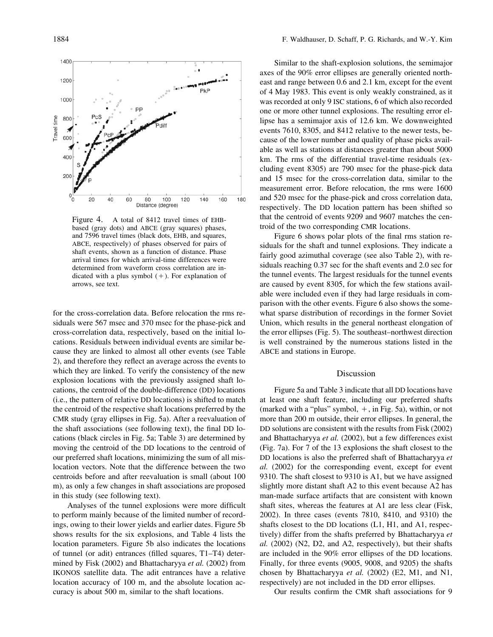

Figure 4. A total of 8412 travel times of EHBbased (gray dots) and ABCE (gray squares) phases, and 7596 travel times (black dots, EHB, and squares, ABCE, respectively) of phases observed for pairs of shaft events, shown as a function of distance. Phase arrival times for which arrival-time differences were determined from waveform cross correlation are indicated with a plus symbol  $(+)$ . For explanation of arrows, see text.

for the cross-correlation data. Before relocation the rms residuals were 567 msec and 370 msec for the phase-pick and cross-correlation data, respectively, based on the initial locations. Residuals between individual events are similar because they are linked to almost all other events (see Table 2), and therefore they reflect an average across the events to which they are linked. To verify the consistency of the new explosion locations with the previously assigned shaft locations, the centroid of the double-difference (DD) locations (i.e., the pattern of relative DD locations) is shifted to match the centroid of the respective shaft locations preferred by the CMR study (gray ellipses in Fig. 5a). After a reevaluation of the shaft associations (see following text), the final DD locations (black circles in Fig. 5a; Table 3) are determined by moving the centroid of the DD locations to the centroid of our preferred shaft locations, minimizing the sum of all mislocation vectors. Note that the difference between the two centroids before and after reevaluation is small (about 100 m), as only a few changes in shaft associations are proposed in this study (see following text).

Analyses of the tunnel explosions were more difficult to perform mainly because of the limited number of recordings, owing to their lower yields and earlier dates. Figure 5b shows results for the six explosions, and Table 4 lists the location parameters. Figure 5b also indicates the locations of tunnel (or adit) entrances (filled squares, T1–T4) determined by Fisk (2002) and Bhattacharyya *et al.* (2002) from IKONOS satellite data. The adit entrances have a relative location accuracy of 100 m, and the absolute location accuracy is about 500 m, similar to the shaft locations.

Similar to the shaft-explosion solutions, the semimajor axes of the 90% error ellipses are generally oriented northeast and range between 0.6 and 2.1 km, except for the event of 4 May 1983. This event is only weakly constrained, as it was recorded at only 9 ISC stations, 6 of which also recorded one or more other tunnel explosions. The resulting error ellipse has a semimajor axis of 12.6 km. We downweighted events 7610, 8305, and 8412 relative to the newer tests, because of the lower number and quality of phase picks available as well as stations at distances greater than about 5000 km. The rms of the differential travel-time residuals (excluding event 8305) are 790 msec for the phase-pick data and 15 msec for the cross-correlation data, similar to the measurement error. Before relocation, the rms were 1600 and 520 msec for the phase-pick and cross correlation data, respectively. The DD location pattern has been shifted so that the centroid of events 9209 and 9607 matches the centroid of the two corresponding CMR locations.

Figure 6 shows polar plots of the final rms station residuals for the shaft and tunnel explosions. They indicate a fairly good azimuthal coverage (see also Table 2), with residuals reaching 0.37 sec for the shaft events and 2.0 sec for the tunnel events. The largest residuals for the tunnel events are caused by event 8305, for which the few stations available were included even if they had large residuals in comparison with the other events. Figure 6 also shows the somewhat sparse distribution of recordings in the former Soviet Union, which results in the general northeast elongation of the error ellipses (Fig. 5). The southeast–northwest direction is well constrained by the numerous stations listed in the ABCE and stations in Europe.

## Discussion

Figure 5a and Table 3 indicate that all DD locations have at least one shaft feature, including our preferred shafts (marked with a "plus" symbol,  $+$ , in Fig. 5a), within, or not more than 200 m outside, their error ellipses. In general, the DD solutions are consistent with the results from Fisk (2002) and Bhattacharyya *et al.* (2002), but a few differences exist (Fig. 7a). For 7 of the 13 explosions the shaft closest to the DD locations is also the preferred shaft of Bhattacharyya *et al.* (2002) for the corresponding event, except for event 9310. The shaft closest to 9310 is A1, but we have assigned slightly more distant shaft A2 to this event because A2 has man-made surface artifacts that are consistent with known shaft sites, whereas the features at A1 are less clear (Fisk, 2002). In three cases (events 7810, 8410, and 9310) the shafts closest to the DD locations (L1, H1, and A1, respectively) differ from the shafts preferred by Bhattacharyya *et al.* (2002) (N2, D2, and A2, respectively), but their shafts are included in the 90% error ellipses of the DD locations. Finally, for three events (9005, 9008, and 9205) the shafts chosen by Bhattacharyya *et al.* (2002) (E2, M1, and N1, respectively) are not included in the DD error ellipses.

Our results confirm the CMR shaft associations for 9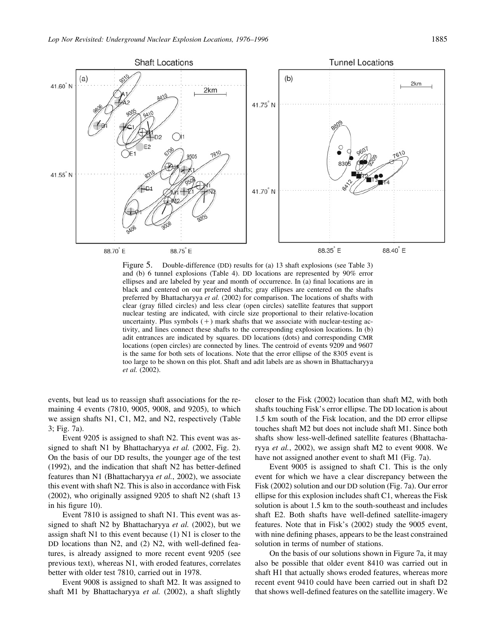

Figure 5. Double-difference (DD) results for (a) 13 shaft explosions (see Table 3) and (b) 6 tunnel explosions (Table 4). DD locations are represented by 90% error ellipses and are labeled by year and month of occurrence. In (a) final locations are in black and centered on our preferred shafts; gray ellipses are centered on the shafts preferred by Bhattacharyya *et al.* (2002) for comparison. The locations of shafts with clear (gray filled circles) and less clear (open circles) satellite features that support nuclear testing are indicated, with circle size proportional to their relative-location uncertainty. Plus symbols  $(+)$  mark shafts that we associate with nuclear-testing activity, and lines connect these shafts to the corresponding explosion locations. In (b) adit entrances are indicated by squares. DD locations (dots) and corresponding CMR locations (open circles) are connected by lines. The centroid of events 9209 and 9607 is the same for both sets of locations. Note that the error ellipse of the 8305 event is too large to be shown on this plot. Shaft and adit labels are as shown in Bhattacharyya *et al.* (2002).

events, but lead us to reassign shaft associations for the remaining 4 events (7810, 9005, 9008, and 9205), to which we assign shafts N1, C1, M2, and N2, respectively (Table 3; Fig. 7a).

Event 9205 is assigned to shaft N2. This event was assigned to shaft N1 by Bhattacharyya *et al.* (2002, Fig. 2). On the basis of our DD results, the younger age of the test (1992), and the indication that shaft N2 has better-defined features than N1 (Bhattacharyya *et al.*, 2002), we associate this event with shaft N2. This is also in accordance with Fisk (2002), who originally assigned 9205 to shaft N2 (shaft 13 in his figure 10).

Event 7810 is assigned to shaft N1. This event was assigned to shaft N2 by Bhattacharyya *et al.* (2002), but we assign shaft N1 to this event because (1) N1 is closer to the DD locations than N2, and (2) N2, with well-defined features, is already assigned to more recent event 9205 (see previous text), whereas N1, with eroded features, correlates better with older test 7810, carried out in 1978.

Event 9008 is assigned to shaft M2. It was assigned to shaft M1 by Bhattacharyya *et al.* (2002), a shaft slightly

closer to the Fisk (2002) location than shaft M2, with both shafts touching Fisk's error ellipse. The DD location is about 1.5 km south of the Fisk location, and the DD error ellipse touches shaft M2 but does not include shaft M1. Since both shafts show less-well-defined satellite features (Bhattacharyya *et al.*, 2002), we assign shaft M2 to event 9008. We have not assigned another event to shaft M1 (Fig. 7a).

Event 9005 is assigned to shaft C1. This is the only event for which we have a clear discrepancy between the Fisk (2002) solution and our DD solution (Fig. 7a). Our error ellipse for this explosion includes shaft C1, whereas the Fisk solution is about 1.5 km to the south-southeast and includes shaft E2. Both shafts have well-defined satellite-imagery features. Note that in Fisk's (2002) study the 9005 event, with nine defining phases, appears to be the least constrained solution in terms of number of stations.

On the basis of our solutions shown in Figure 7a, it may also be possible that older event 8410 was carried out in shaft H1 that actually shows eroded features, whereas more recent event 9410 could have been carried out in shaft D2 that shows well-defined features on the satellite imagery. We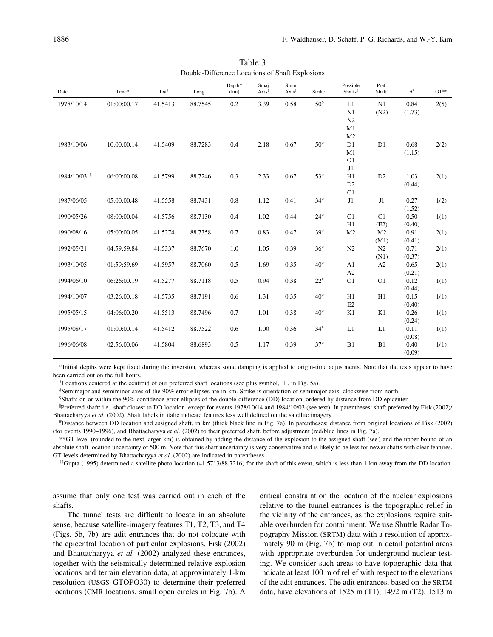| Date                     | Time*       | Lat $^{\dagger}$ | Long. <sup>†</sup> | Depth*<br>(km) | Smaj<br>$Axis^{\ddagger}$ | Smin<br>$Axis^{\ddagger}$ | Strike <sup>#</sup> | Possible<br>Shafts <sup>§</sup> | Pref.<br>Shaft | $\Delta^{\text{\tt\#}}$ | $GT**$ |
|--------------------------|-------------|------------------|--------------------|----------------|---------------------------|---------------------------|---------------------|---------------------------------|----------------|-------------------------|--------|
| 1978/10/14               | 01:00:00.17 | 41.5413          | 88.7545            | 0.2            | 3.39                      | 0.58                      | $50^{\circ}$        | L1                              | N1             | 0.84                    | 2(5)   |
|                          |             |                  |                    |                |                           |                           |                     | N1                              | (N2)           | (1.73)                  |        |
|                          |             |                  |                    |                |                           |                           |                     | N <sub>2</sub>                  |                |                         |        |
|                          |             |                  |                    |                |                           |                           |                     | M1                              |                |                         |        |
|                          |             |                  |                    |                |                           |                           |                     | M <sub>2</sub>                  |                |                         |        |
| 1983/10/06               | 10:00:00.14 | 41.5409          | 88.7283            | 0.4            | 2.18                      | 0.67                      | $50^\circ$          | D1                              | D1             | 0.68                    | 2(2)   |
|                          |             |                  |                    |                |                           |                           |                     | M1                              |                | (1.15)                  |        |
|                          |             |                  |                    |                |                           |                           |                     | O <sub>1</sub>                  |                |                         |        |
|                          |             |                  |                    |                |                           |                           |                     | $\rm J1$                        |                |                         |        |
| 1984/10/03 <sup>††</sup> | 06:00:00.08 | 41.5799          | 88.7246            | 0.3            | 2.33                      | 0.67                      | $53^\circ$          | H1                              | D2             | 1.03                    | 2(1)   |
|                          |             |                  |                    |                |                           |                           |                     | D <sub>2</sub>                  |                | (0.44)                  |        |
|                          |             |                  |                    |                |                           |                           |                     | C1                              |                |                         |        |
| 1987/06/05               | 05:00:00.48 | 41.5558          | 88.7431            | 0.8            | 1.12                      | 0.41                      | $34^\circ$          | $\rm J1$                        | J1             | 0.27                    | 1(2)   |
|                          |             |                  |                    |                |                           |                           |                     |                                 |                | (1.52)                  |        |
| 1990/05/26               | 08:00:00.04 | 41.5756          | 88.7130            | 0.4            | 1.02                      | 0.44                      | $24^{\circ}$        | C1                              | C1             | 0.50                    | 1(1)   |
|                          |             |                  |                    |                |                           |                           |                     | H1                              | (E2)           | (0.40)                  |        |
| 1990/08/16               | 05:00:00.05 | 41.5274          | 88.7358            | 0.7            | 0.83                      | 0.47                      | $39^\circ$          | M <sub>2</sub>                  | M <sub>2</sub> | 0.91                    | 2(1)   |
|                          |             |                  |                    |                |                           |                           |                     |                                 | (M1)           | (0.41)                  |        |
| 1992/05/21               | 04:59:59.84 | 41.5337          | 88.7670            | 1.0            | 1.05                      | 0.39                      | $36^{\circ}$        | N2                              | N <sub>2</sub> | 0.71                    | 2(1)   |
|                          |             |                  |                    |                |                           |                           |                     |                                 | (N1)           | (0.37)                  |        |
| 1993/10/05               | 01:59:59.69 | 41.5957          | 88.7060            | 0.5            | 1.69                      | 0.35                      | $40^{\circ}$        | A1                              | A2             | 0.65                    | 2(1)   |
|                          |             |                  |                    |                |                           |                           |                     | A2                              |                | (0.21)                  |        |
| 1994/06/10               | 06:26:00.19 | 41.5277          | 88.7118            | 0.5            | 0.94                      | 0.38                      | $22^{\circ}$        | O <sub>1</sub>                  | O <sub>1</sub> | 0.12                    | 1(1)   |
|                          |             |                  |                    |                |                           |                           |                     |                                 |                | (0.44)                  |        |
| 1994/10/07               | 03:26:00.18 | 41.5735          | 88.7191            | 0.6            | 1.31                      | 0.35                      | $40^{\circ}$        | H1                              | H1             | 0.15                    | 1(1)   |
|                          |             |                  |                    |                |                           |                           |                     | E2                              |                | (0.40)                  |        |
| 1995/05/15               | 04:06:00.20 | 41.5513          | 88.7496            | $0.7\,$        | 1.01                      | 0.38                      | $40^{\circ}$        | K1                              | K1             | 0.26                    | 1(1)   |
| 1995/08/17               | 01:00:00.14 | 41.5412          | 88.7522            | 0.6            | 1.00                      | 0.36                      | $34^\circ$          | L1                              | L1             | (0.24)<br>0.11          | 1(1)   |
|                          |             |                  |                    |                |                           |                           |                     |                                 |                | (0.08)                  |        |
| 1996/06/08               | 02:56:00.06 | 41.5804          | 88.6893            | 0.5            | 1.17                      | 0.39                      | $37^\circ$          | B1                              | B1             | 0.40                    | 1(1)   |
|                          |             |                  |                    |                |                           |                           |                     |                                 |                | (0.09)                  |        |

Table 3 Double-Difference Locations of Shaft Explosions

\*Initial depths were kept fixed during the inversion, whereas some damping is applied to origin-time adjustments. Note that the tests appear to have been carried out on the full hours.

 $\text{``Locations centered at the centroid of our preferred shaft locations (see plus symbol, +, in Fig. 5a).}$ 

‡ Semimajor and semiminor axes of the 90% error ellipses are in km. Strike is orientation of semimajor axis, clockwise from north.

§ Shafts on or within the 90% confidence error ellipses of the double-difference (DD) location, ordered by distance from DD epicenter.

 Preferred shaft; i.e., shaft closest to DD location, except for events 1978/10/14 and 1984/10/03 (see text). In parentheses: shaft preferred by Fisk (2002)/ Bhattacharyya *et al.* (2002). Shaft labels in italic indicate features less well defined on the satellite imagery.

# Distance between DD location and assigned shaft, in km (thick black line in Fig. 7a). In parentheses: distance from original locations of Fisk (2002) (for events 1990–1996), and Bhattacharyya *et al.* (2002) to their preferred shaft, before adjustment (red/blue lines in Fig. 7a).

\*\*GT level (rounded to the next larger km) is obtained by adding the distance of the explosion to the assigned shaft (see<sup>1</sup>) and the upper bound of an absolute shaft location uncertainty of 500 m. Note that this shaft uncertainty is very conservative and is likely to be less for newer shafts with clear features. GT levels determined by Bhattacharyya *et al.* (2002) are indicated in parentheses.

††Gupta (1995) determined a satellite photo location (41.5713/88.7216) for the shaft of this event, which is less than 1 km away from the DD location.

assume that only one test was carried out in each of the shafts.

The tunnel tests are difficult to locate in an absolute sense, because satellite-imagery features T1, T2, T3, and T4 (Figs. 5b, 7b) are adit entrances that do not colocate with the epicentral location of particular explosions. Fisk (2002) and Bhattacharyya *et al.* (2002) analyzed these entrances, together with the seismically determined relative explosion locations and terrain elevation data, at approximately 1-km resolution (USGS GTOPO30) to determine their preferred locations (CMR locations, small open circles in Fig. 7b). A critical constraint on the location of the nuclear explosions relative to the tunnel entrances is the topographic relief in the vicinity of the entrances, as the explosions require suitable overburden for containment. We use Shuttle Radar Topography Mission (SRTM) data with a resolution of approximately 90 m (Fig. 7b) to map out in detail potential areas with appropriate overburden for underground nuclear testing. We consider such areas to have topographic data that indicate at least 100 m of relief with respect to the elevations of the adit entrances. The adit entrances, based on the SRTM data, have elevations of 1525 m (T1), 1492 m (T2), 1513 m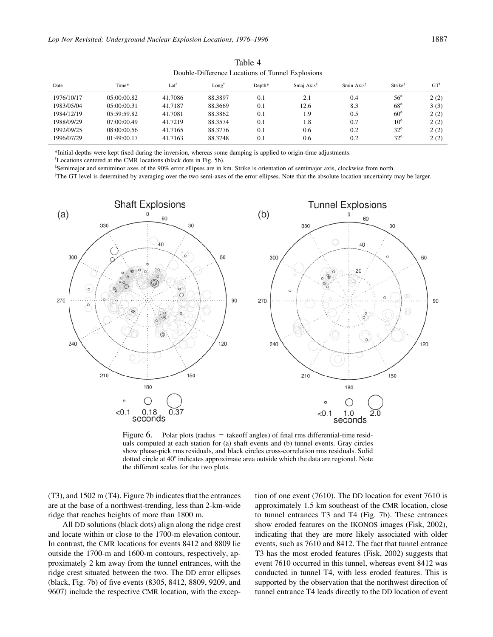|            | Double-Difference Locations of Tunner Explosions |         |                  |        |               |               |                     |        |  |  |  |
|------------|--------------------------------------------------|---------|------------------|--------|---------------|---------------|---------------------|--------|--|--|--|
| Date       | Time*                                            | Lat     | $Long^{\dagger}$ | Depth* | Smai Axis $2$ | Smin Axis $*$ | Strike <sup>‡</sup> | $GT^s$ |  |  |  |
| 1976/10/17 | 0.5:00:00.82                                     | 41.7086 | 88.3897          | 0.1    | 2.1           | 0.4           | $56^{\circ}$        | 2(2)   |  |  |  |
| 1983/05/04 | 0.5:00:00.31                                     | 41.7187 | 88.3669          | 0.1    | 12.6          | 8.3           | $68^{\circ}$        | 3(3)   |  |  |  |
| 1984/12/19 | 05:59:59.82                                      | 41.7081 | 88.3862          | 0.1    | 1.9           | 0.5           | $60^\circ$          | 2(2)   |  |  |  |
| 1988/09/29 | 07:00:00.49                                      | 41.7219 | 88.3574          | 0.1    | 1.8           | 0.7           | $10^{\circ}$        | 2(2)   |  |  |  |
| 1992/09/25 | 08:00:00.56                                      | 41.7165 | 88.3776          | 0.1    | 0.6           | 0.2           | $32^\circ$          | 2(2)   |  |  |  |
| 1996/07/29 | 01:49:00.17                                      | 41.7163 | 88.3748          | 0.1    | 0.6           | 0.2           | $32^{\circ}$        | 2(2)   |  |  |  |

Table 4  $D$  and  $L$   $D$ :  $\mathcal{L}$ 

\*Initial depths were kept fixed during the inversion, whereas some damping is applied to origin-time adjustments.

† Locations centered at the CMR locations (black dots in Fig. 5b).

‡ Semimajor and semiminor axes of the 90% error ellipses are in km. Strike is orientation of semimajor axis, clockwise from north.

§ The GT level is determined by averaging over the two semi-axes of the error ellipses. Note that the absolute location uncertainty may be larger.



Figure 6. Polar plots (radius  $=$  takeoff angles) of final rms differential-time residuals computed at each station for (a) shaft events and (b) tunnel events. Gray circles show phase-pick rms residuals, and black circles cross-correlation rms residuals. Solid dotted circle at 40° indicates approximate area outside which the data are regional. Note the different scales for the two plots.

(T3), and 1502 m (T4). Figure 7b indicates that the entrances are at the base of a northwest-trending, less than 2-km-wide ridge that reaches heights of more than 1800 m.

All DD solutions (black dots) align along the ridge crest and locate within or close to the 1700-m elevation contour. In contrast, the CMR locations for events 8412 and 8809 lie outside the 1700-m and 1600-m contours, respectively, approximately 2 km away from the tunnel entrances, with the ridge crest situated between the two. The DD error ellipses (black, Fig. 7b) of five events (8305, 8412, 8809, 9209, and 9607) include the respective CMR location, with the exception of one event (7610). The DD location for event 7610 is approximately 1.5 km southeast of the CMR location, close to tunnel entrances T3 and T4 (Fig. 7b). These entrances show eroded features on the IKONOS images (Fisk, 2002), indicating that they are more likely associated with older events, such as 7610 and 8412. The fact that tunnel entrance T3 has the most eroded features (Fisk, 2002) suggests that event 7610 occurred in this tunnel, whereas event 8412 was conducted in tunnel T4, with less eroded features. This is supported by the observation that the northwest direction of tunnel entrance T4 leads directly to the DD location of event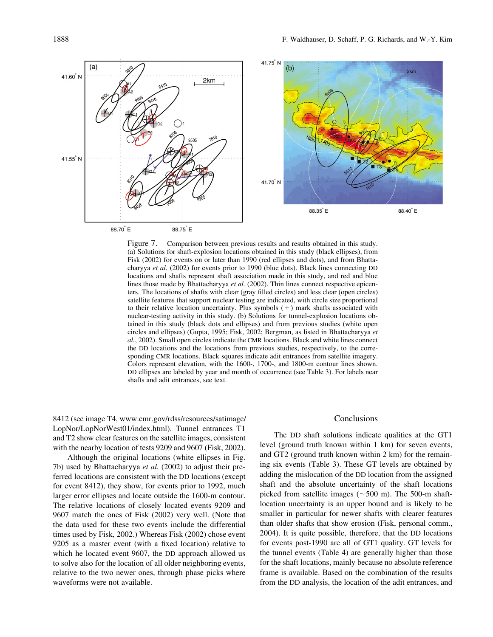

Figure 7. Comparison between previous results and results obtained in this study. (a) Solutions for shaft-explosion locations obtained in this study (black ellipses), from Fisk (2002) for events on or later than 1990 (red ellipses and dots), and from Bhattacharyya *et al.* (2002) for events prior to 1990 (blue dots). Black lines connecting DD locations and shafts represent shaft association made in this study, and red and blue lines those made by Bhattacharyya *et al.* (2002). Thin lines connect respective epicenters. The locations of shafts with clear (gray filled circles) and less clear (open circles) satellite features that support nuclear testing are indicated, with circle size proportional to their relative location uncertainty. Plus symbols  $(+)$  mark shafts associated with nuclear-testing activity in this study. (b) Solutions for tunnel-explosion locations obtained in this study (black dots and ellipses) and from previous studies (white open circles and ellipses) (Gupta, 1995; Fisk, 2002; Bergman, as listed in Bhattacharyya *et al.*, 2002). Small open circles indicate the CMR locations. Black and white lines connect the DD locations and the locations from previous studies, respectively, to the corresponding CMR locations. Black squares indicate adit entrances from satellite imagery. Colors represent elevation, with the 1600-, 1700-, and 1800-m contour lines shown. DD ellipses are labeled by year and month of occurrence (see Table 3). For labels near shafts and adit entrances, see text.

8412 (see image T4, www.cmr.gov/rdss/resources/satimage/ LopNor/LopNorWest01/index.html). Tunnel entrances T1 and T2 show clear features on the satellite images, consistent with the nearby location of tests 9209 and 9607 (Fisk, 2002).

Although the original locations (white ellipses in Fig. 7b) used by Bhattacharyya *et al.* (2002) to adjust their preferred locations are consistent with the DD locations (except for event 8412), they show, for events prior to 1992, much larger error ellipses and locate outside the 1600-m contour. The relative locations of closely located events 9209 and 9607 match the ones of Fisk (2002) very well. (Note that the data used for these two events include the differential times used by Fisk, 2002.) Whereas Fisk (2002) chose event 9205 as a master event (with a fixed location) relative to which he located event 9607, the DD approach allowed us to solve also for the location of all older neighboring events, relative to the two newer ones, through phase picks where waveforms were not available.

#### Conclusions

The DD shaft solutions indicate qualities at the GT1 level (ground truth known within 1 km) for seven events, and GT2 (ground truth known within 2 km) for the remaining six events (Table 3). These GT levels are obtained by adding the mislocation of the DD location from the assigned shaft and the absolute uncertainty of the shaft locations picked from satellite images ( $\sim$ 500 m). The 500-m shaftlocation uncertainty is an upper bound and is likely to be smaller in particular for newer shafts with clearer features than older shafts that show erosion (Fisk, personal comm., 2004). It is quite possible, therefore, that the DD locations for events post-1990 are all of GT1 quality. GT levels for the tunnel events (Table 4) are generally higher than those for the shaft locations, mainly because no absolute reference frame is available. Based on the combination of the results from the DD analysis, the location of the adit entrances, and